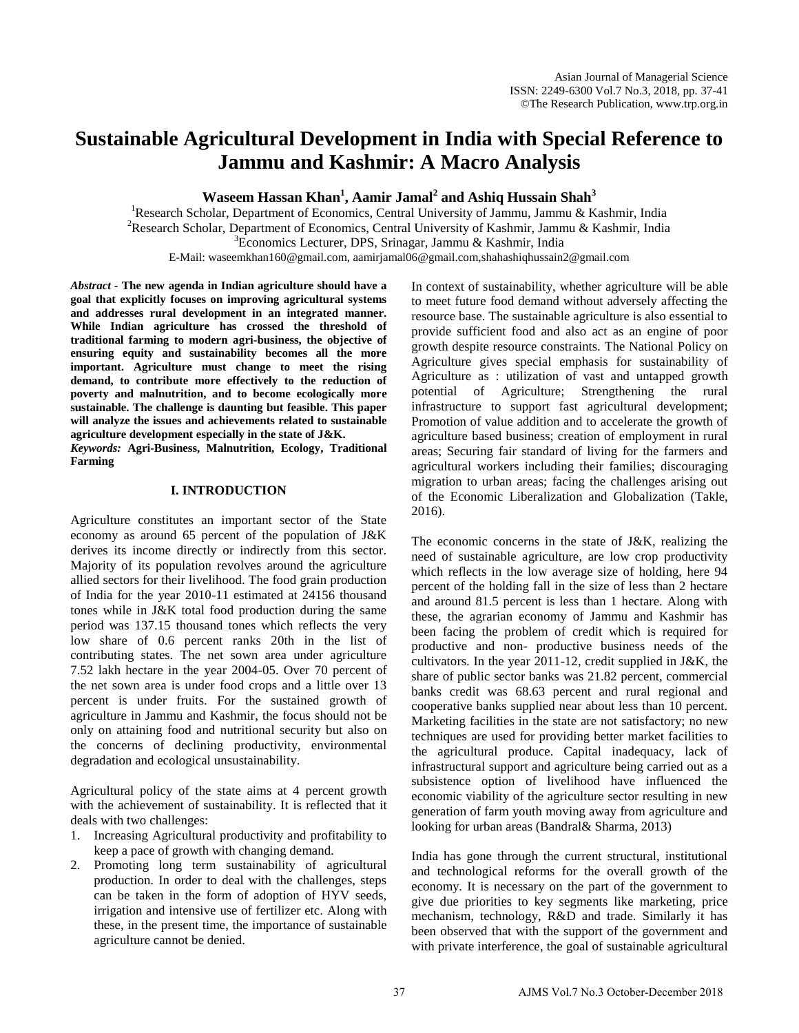# **Sustainable Agricultural Development in India with Special Reference to Jammu and Kashmir: A Macro Analysis**

**Waseem Hassan Khan<sup>1</sup> , Aamir Jamal<sup>2</sup> and Ashiq Hussain Shah<sup>3</sup>**

<sup>1</sup>Research Scholar, Department of Economics, Central University of Jammu, Jammu & Kashmir, India <sup>2</sup>Research Scholar, Department of Economics, Central University of Kashmir, Jammu & Kashmir, India  ${}^{3}$ Economics Lecturer, DPS, Srinagar, Jammu & Kashmir, India E-Mail: waseemkhan160@gmail.com, aamirjamal06@gmail.com,shahashiqhussain2@gmail.com

*Abstract* **- The new agenda in Indian agriculture should have a goal that explicitly focuses on improving agricultural systems and addresses rural development in an integrated manner. While Indian agriculture has crossed the threshold of traditional farming to modern agri-business, the objective of ensuring equity and sustainability becomes all the more important. Agriculture must change to meet the rising demand, to contribute more effectively to the reduction of poverty and malnutrition, and to become ecologically more sustainable. The challenge is daunting but feasible. This paper will analyze the issues and achievements related to sustainable agriculture development especially in the state of J&K.**  *Keywords:* **Agri-Business, Malnutrition, Ecology, Traditional** 

## **I. INTRODUCTION**

**Farming** 

Agriculture constitutes an important sector of the State economy as around 65 percent of the population of J&K derives its income directly or indirectly from this sector. Majority of its population revolves around the agriculture allied sectors for their livelihood. The food grain production of India for the year 2010-11 estimated at 24156 thousand tones while in J&K total food production during the same period was 137.15 thousand tones which reflects the very low share of 0.6 percent ranks 20th in the list of contributing states. The net sown area under agriculture 7.52 lakh hectare in the year 2004-05. Over 70 percent of the net sown area is under food crops and a little over 13 percent is under fruits. For the sustained growth of agriculture in Jammu and Kashmir, the focus should not be only on attaining food and nutritional security but also on the concerns of declining productivity, environmental degradation and ecological unsustainability.

Agricultural policy of the state aims at 4 percent growth with the achievement of sustainability. It is reflected that it deals with two challenges:

- 1. Increasing Agricultural productivity and profitability to keep a pace of growth with changing demand.
- 2. Promoting long term sustainability of agricultural production. In order to deal with the challenges, steps can be taken in the form of adoption of HYV seeds, irrigation and intensive use of fertilizer etc. Along with these, in the present time, the importance of sustainable agriculture cannot be denied.

In context of sustainability, whether agriculture will be able to meet future food demand without adversely affecting the resource base. The sustainable agriculture is also essential to provide sufficient food and also act as an engine of poor growth despite resource constraints. The National Policy on Agriculture gives special emphasis for sustainability of Agriculture as : utilization of vast and untapped growth potential of Agriculture; Strengthening the rural infrastructure to support fast agricultural development; Promotion of value addition and to accelerate the growth of agriculture based business; creation of employment in rural areas; Securing fair standard of living for the farmers and agricultural workers including their families; discouraging migration to urban areas; facing the challenges arising out of the Economic Liberalization and Globalization (Takle, 2016).

The economic concerns in the state of J&K, realizing the need of sustainable agriculture, are low crop productivity which reflects in the low average size of holding, here 94 percent of the holding fall in the size of less than 2 hectare and around 81.5 percent is less than 1 hectare. Along with these, the agrarian economy of Jammu and Kashmir has been facing the problem of credit which is required for productive and non- productive business needs of the cultivators. In the year 2011-12, credit supplied in  $J\&K$ , the share of public sector banks was 21.82 percent, commercial banks credit was 68.63 percent and rural regional and cooperative banks supplied near about less than 10 percent. Marketing facilities in the state are not satisfactory; no new techniques are used for providing better market facilities to the agricultural produce. Capital inadequacy, lack of infrastructural support and agriculture being carried out as a subsistence option of livelihood have influenced the economic viability of the agriculture sector resulting in new generation of farm youth moving away from agriculture and looking for urban areas (Bandral& Sharma, 2013)

India has gone through the current structural, institutional and technological reforms for the overall growth of the economy. It is necessary on the part of the government to give due priorities to key segments like marketing, price mechanism, technology, R&D and trade. Similarly it has been observed that with the support of the government and with private interference, the goal of sustainable agricultural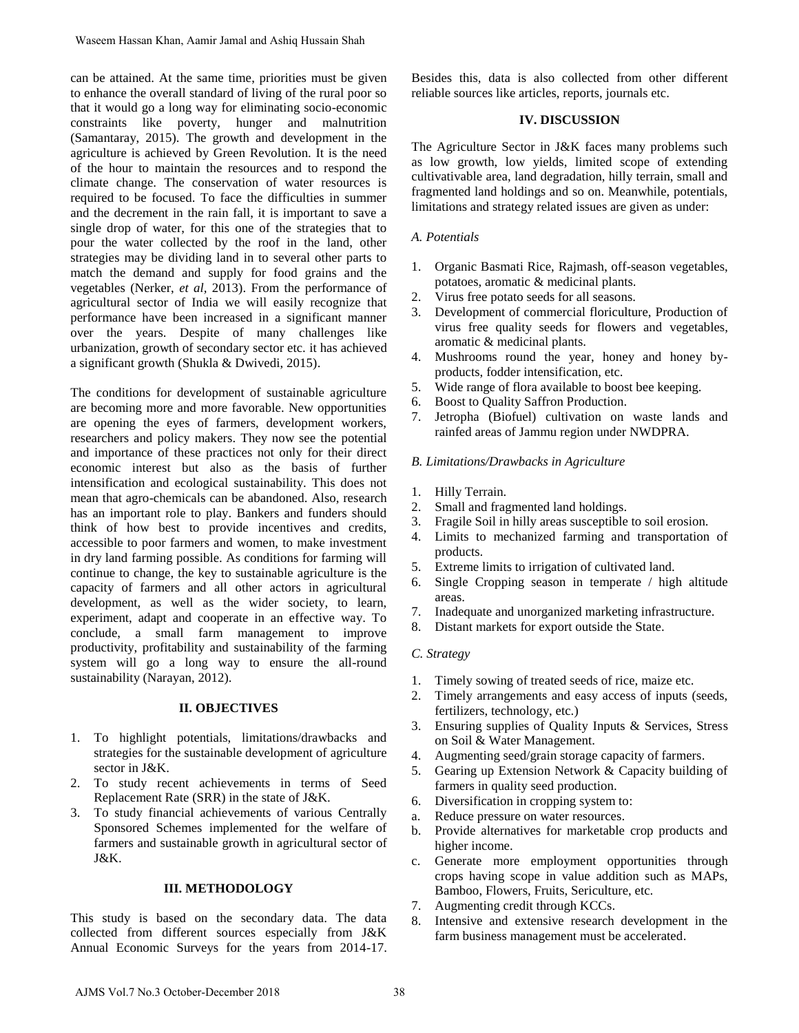can be attained. At the same time, priorities must be given to enhance the overall standard of living of the rural poor so that it would go a long way for eliminating socio-economic constraints like poverty, hunger and malnutrition (Samantaray, 2015). The growth and development in the agriculture is achieved by Green Revolution. It is the need of the hour to maintain the resources and to respond the climate change. The conservation of water resources is required to be focused. To face the difficulties in summer and the decrement in the rain fall, it is important to save a single drop of water, for this one of the strategies that to pour the water collected by the roof in the land, other strategies may be dividing land in to several other parts to match the demand and supply for food grains and the vegetables (Nerker, *et al,* 2013). From the performance of agricultural sector of India we will easily recognize that performance have been increased in a significant manner over the years. Despite of many challenges like urbanization, growth of secondary sector etc. it has achieved a significant growth (Shukla & Dwivedi, 2015).

The conditions for development of sustainable agriculture are becoming more and more favorable. New opportunities are opening the eyes of farmers, development workers, researchers and policy makers. They now see the potential and importance of these practices not only for their direct economic interest but also as the basis of further intensification and ecological sustainability. This does not mean that agro-chemicals can be abandoned. Also, research has an important role to play. Bankers and funders should think of how best to provide incentives and credits, accessible to poor farmers and women, to make investment in dry land farming possible. As conditions for farming will continue to change, the key to sustainable agriculture is the capacity of farmers and all other actors in agricultural development, as well as the wider society, to learn, experiment, adapt and cooperate in an effective way. To conclude, a small farm management to improve productivity, profitability and sustainability of the farming system will go a long way to ensure the all-round sustainability (Narayan, 2012). Waseem Hassan Khan. Aamir Jamal and Ashiq Hussain Shah<br>an be attained. At the same time, priorities must be given<br>no cohemec the overall sundant of thiving of the runt poor so<br>product and the word sundant of the same time

## **II. OBJECTIVES**

- 1. To highlight potentials, limitations/drawbacks and strategies for the sustainable development of agriculture sector in J&K.
- 2. To study recent achievements in terms of Seed Replacement Rate (SRR) in the state of J&K.
- 3. To study financial achievements of various Centrally Sponsored Schemes implemented for the welfare of farmers and sustainable growth in agricultural sector of J&K.

## **III. METHODOLOGY**

This study is based on the secondary data. The data collected from different sources especially from J&K Annual Economic Surveys for the years from 2014-17. Besides this, data is also collected from other different reliable sources like articles, reports, journals etc.

## **IV. DISCUSSION**

The Agriculture Sector in J&K faces many problems such as low growth, low yields, limited scope of extending cultivativable area, land degradation, hilly terrain, small and fragmented land holdings and so on. Meanwhile, potentials, limitations and strategy related issues are given as under:

## *A. Potentials*

- 1. Organic Basmati Rice, Rajmash, off-season vegetables, potatoes, aromatic & medicinal plants.
- 2. Virus free potato seeds for all seasons.
- 3. Development of commercial floriculture, Production of virus free quality seeds for flowers and vegetables, aromatic & medicinal plants.
- 4. Mushrooms round the year, honey and honey byproducts, fodder intensification, etc.
- 5. Wide range of flora available to boost bee keeping.
- 6. Boost to Quality Saffron Production.
- 7. Jetropha (Biofuel) cultivation on waste lands and rainfed areas of Jammu region under NWDPRA.

## *B. Limitations/Drawbacks in Agriculture*

- 1. Hilly Terrain.
- 2. Small and fragmented land holdings.
- 3. Fragile Soil in hilly areas susceptible to soil erosion.
- 4. Limits to mechanized farming and transportation of products.
- 5. Extreme limits to irrigation of cultivated land.
- 6. Single Cropping season in temperate / high altitude areas.
- 7. Inadequate and unorganized marketing infrastructure.
- 8. Distant markets for export outside the State.

## *C. Strategy*

- 1. Timely sowing of treated seeds of rice, maize etc.
- 2. Timely arrangements and easy access of inputs (seeds, fertilizers, technology, etc.)
- 3. Ensuring supplies of Quality Inputs & Services, Stress on Soil & Water Management.
- 4. Augmenting seed/grain storage capacity of farmers.
- 5. Gearing up Extension Network & Capacity building of farmers in quality seed production.
- 6. Diversification in cropping system to:
- a. Reduce pressure on water resources.
- b. Provide alternatives for marketable crop products and higher income.
- c. Generate more employment opportunities through crops having scope in value addition such as MAPs, Bamboo, Flowers, Fruits, Sericulture, etc.
- 7. Augmenting credit through KCCs.
- 8. Intensive and extensive research development in the farm business management must be accelerated.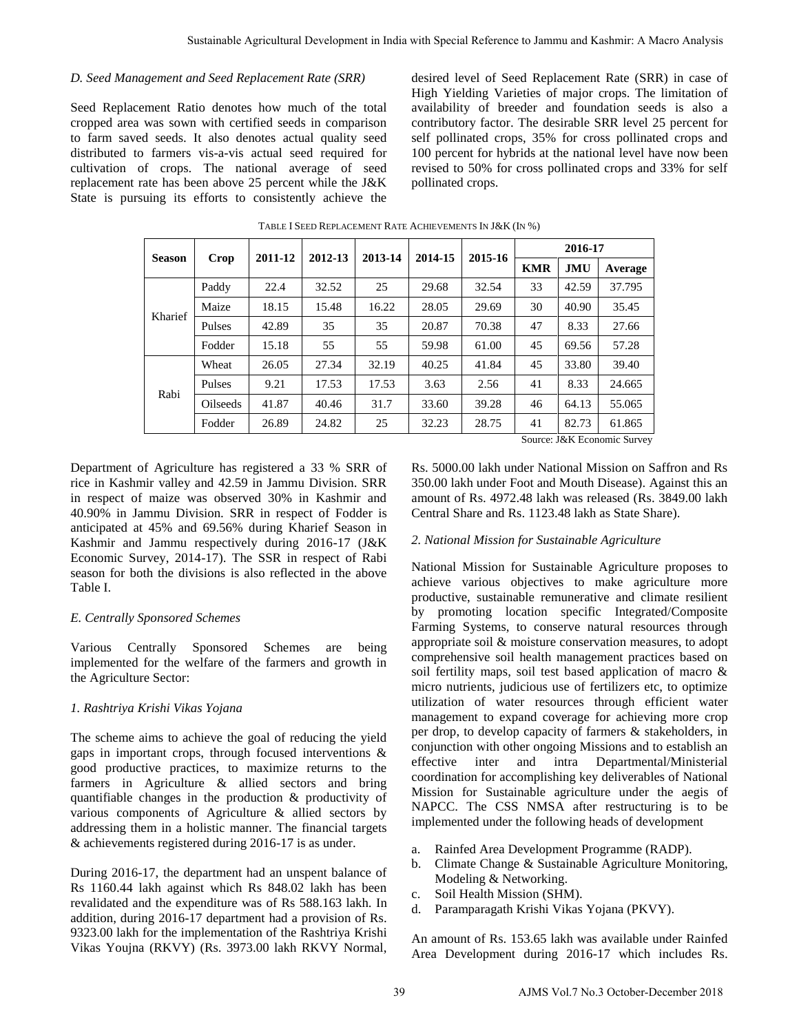## *D. Seed Management and Seed Replacement Rate (SRR)*

Seed Replacement Ratio denotes how much of the total cropped area was sown with certified seeds in comparison to farm saved seeds. It also denotes actual quality seed distributed to farmers vis-a-vis actual seed required for cultivation of crops. The national average of seed replacement rate has been above 25 percent while the J&K State is pursuing its efforts to consistently achieve the

|                                                                                                                                                                                                                                                                                                                                                                                                                                                                                                                                                                                                                                                                                                                                                                                                                                                              |                                                                                                                                                                                                                                                                                                                                                                     |         |                                                                                                                                                                                                                                                                                                                                                                                                                                                         |         |                                                                                                                                                                                                                                                                                                                                                                                                                                                                                                                                                                                                                                                                                                                                                                                                                                                                                                                                                                                                                                                                                                                                                                                                                                                                                                                                                                                                                                                                                           |         |            |       |                                       | Sustainable Agricultural Development in India with Special Reference to Jammu and Kashmir: A Macro Analysis |
|--------------------------------------------------------------------------------------------------------------------------------------------------------------------------------------------------------------------------------------------------------------------------------------------------------------------------------------------------------------------------------------------------------------------------------------------------------------------------------------------------------------------------------------------------------------------------------------------------------------------------------------------------------------------------------------------------------------------------------------------------------------------------------------------------------------------------------------------------------------|---------------------------------------------------------------------------------------------------------------------------------------------------------------------------------------------------------------------------------------------------------------------------------------------------------------------------------------------------------------------|---------|---------------------------------------------------------------------------------------------------------------------------------------------------------------------------------------------------------------------------------------------------------------------------------------------------------------------------------------------------------------------------------------------------------------------------------------------------------|---------|-------------------------------------------------------------------------------------------------------------------------------------------------------------------------------------------------------------------------------------------------------------------------------------------------------------------------------------------------------------------------------------------------------------------------------------------------------------------------------------------------------------------------------------------------------------------------------------------------------------------------------------------------------------------------------------------------------------------------------------------------------------------------------------------------------------------------------------------------------------------------------------------------------------------------------------------------------------------------------------------------------------------------------------------------------------------------------------------------------------------------------------------------------------------------------------------------------------------------------------------------------------------------------------------------------------------------------------------------------------------------------------------------------------------------------------------------------------------------------------------|---------|------------|-------|---------------------------------------|-------------------------------------------------------------------------------------------------------------|
|                                                                                                                                                                                                                                                                                                                                                                                                                                                                                                                                                                                                                                                                                                                                                                                                                                                              | gement and Seed Replacement Rate (SRR)<br>ment Ratio denotes how much of the total<br>was sown with certified seeds in comparison<br>l seeds. It also denotes actual quality seed<br>farmers vis-a-vis actual seed required for<br>crops. The national average of seed<br>te has been above 25 percent while the J&K<br>ing its efforts to consistently achieve the |         | desired level of Seed Replacement Rate (SRR) in case of<br>High Yielding Varieties of major crops. The limitation o<br>availability of breeder and foundation seeds is also<br>contributory factor. The desirable SRR level 25 percent fo<br>self pollinated crops, 35% for cross pollinated crops and<br>100 percent for hybrids at the national level have now been<br>revised to 50% for cross pollinated crops and 33% for sel<br>pollinated crops. |         |                                                                                                                                                                                                                                                                                                                                                                                                                                                                                                                                                                                                                                                                                                                                                                                                                                                                                                                                                                                                                                                                                                                                                                                                                                                                                                                                                                                                                                                                                           |         |            |       |                                       |                                                                                                             |
|                                                                                                                                                                                                                                                                                                                                                                                                                                                                                                                                                                                                                                                                                                                                                                                                                                                              |                                                                                                                                                                                                                                                                                                                                                                     |         |                                                                                                                                                                                                                                                                                                                                                                                                                                                         |         | TABLE I SEED REPLACEMENT RATE ACHIEVEMENTS IN J&K (IN %)                                                                                                                                                                                                                                                                                                                                                                                                                                                                                                                                                                                                                                                                                                                                                                                                                                                                                                                                                                                                                                                                                                                                                                                                                                                                                                                                                                                                                                  |         |            |       |                                       |                                                                                                             |
| <b>Season</b>                                                                                                                                                                                                                                                                                                                                                                                                                                                                                                                                                                                                                                                                                                                                                                                                                                                | Crop                                                                                                                                                                                                                                                                                                                                                                | 2011-12 | 2012-13                                                                                                                                                                                                                                                                                                                                                                                                                                                 | 2013-14 | 2014-15                                                                                                                                                                                                                                                                                                                                                                                                                                                                                                                                                                                                                                                                                                                                                                                                                                                                                                                                                                                                                                                                                                                                                                                                                                                                                                                                                                                                                                                                                   | 2015-16 | 2016-17    |       |                                       |                                                                                                             |
|                                                                                                                                                                                                                                                                                                                                                                                                                                                                                                                                                                                                                                                                                                                                                                                                                                                              |                                                                                                                                                                                                                                                                                                                                                                     |         |                                                                                                                                                                                                                                                                                                                                                                                                                                                         |         |                                                                                                                                                                                                                                                                                                                                                                                                                                                                                                                                                                                                                                                                                                                                                                                                                                                                                                                                                                                                                                                                                                                                                                                                                                                                                                                                                                                                                                                                                           |         | <b>KMR</b> | JMU   | Average                               |                                                                                                             |
| Kharief                                                                                                                                                                                                                                                                                                                                                                                                                                                                                                                                                                                                                                                                                                                                                                                                                                                      | Paddy                                                                                                                                                                                                                                                                                                                                                               | 22.4    | 32.52                                                                                                                                                                                                                                                                                                                                                                                                                                                   | 25      | 29.68                                                                                                                                                                                                                                                                                                                                                                                                                                                                                                                                                                                                                                                                                                                                                                                                                                                                                                                                                                                                                                                                                                                                                                                                                                                                                                                                                                                                                                                                                     | 32.54   | 33         | 42.59 | 37.795                                |                                                                                                             |
|                                                                                                                                                                                                                                                                                                                                                                                                                                                                                                                                                                                                                                                                                                                                                                                                                                                              | Maize                                                                                                                                                                                                                                                                                                                                                               | 18.15   | 15.48                                                                                                                                                                                                                                                                                                                                                                                                                                                   | 16.22   | 28.05                                                                                                                                                                                                                                                                                                                                                                                                                                                                                                                                                                                                                                                                                                                                                                                                                                                                                                                                                                                                                                                                                                                                                                                                                                                                                                                                                                                                                                                                                     | 29.69   | 30         | 40.90 | 35.45                                 |                                                                                                             |
|                                                                                                                                                                                                                                                                                                                                                                                                                                                                                                                                                                                                                                                                                                                                                                                                                                                              | Pulses                                                                                                                                                                                                                                                                                                                                                              | 42.89   | 35                                                                                                                                                                                                                                                                                                                                                                                                                                                      | 35      | 20.87                                                                                                                                                                                                                                                                                                                                                                                                                                                                                                                                                                                                                                                                                                                                                                                                                                                                                                                                                                                                                                                                                                                                                                                                                                                                                                                                                                                                                                                                                     | 70.38   | 47         | 8.33  | 27.66                                 |                                                                                                             |
| Rabi                                                                                                                                                                                                                                                                                                                                                                                                                                                                                                                                                                                                                                                                                                                                                                                                                                                         | Fodder                                                                                                                                                                                                                                                                                                                                                              | 15.18   | 55                                                                                                                                                                                                                                                                                                                                                                                                                                                      | 55      | 59.98                                                                                                                                                                                                                                                                                                                                                                                                                                                                                                                                                                                                                                                                                                                                                                                                                                                                                                                                                                                                                                                                                                                                                                                                                                                                                                                                                                                                                                                                                     | 61.00   | 45         | 69.56 | 57.28                                 |                                                                                                             |
|                                                                                                                                                                                                                                                                                                                                                                                                                                                                                                                                                                                                                                                                                                                                                                                                                                                              | Wheat                                                                                                                                                                                                                                                                                                                                                               | 26.05   | 27.34                                                                                                                                                                                                                                                                                                                                                                                                                                                   | 32.19   | 40.25                                                                                                                                                                                                                                                                                                                                                                                                                                                                                                                                                                                                                                                                                                                                                                                                                                                                                                                                                                                                                                                                                                                                                                                                                                                                                                                                                                                                                                                                                     | 41.84   | 45         | 33.80 | 39.40                                 |                                                                                                             |
|                                                                                                                                                                                                                                                                                                                                                                                                                                                                                                                                                                                                                                                                                                                                                                                                                                                              | Pulses                                                                                                                                                                                                                                                                                                                                                              | 9.21    | 17.53                                                                                                                                                                                                                                                                                                                                                                                                                                                   | 17.53   | 3.63                                                                                                                                                                                                                                                                                                                                                                                                                                                                                                                                                                                                                                                                                                                                                                                                                                                                                                                                                                                                                                                                                                                                                                                                                                                                                                                                                                                                                                                                                      | 2.56    | 41         | 8.33  | 24.665                                |                                                                                                             |
|                                                                                                                                                                                                                                                                                                                                                                                                                                                                                                                                                                                                                                                                                                                                                                                                                                                              | Oilseeds                                                                                                                                                                                                                                                                                                                                                            | 41.87   | 40.46                                                                                                                                                                                                                                                                                                                                                                                                                                                   | 31.7    | 33.60                                                                                                                                                                                                                                                                                                                                                                                                                                                                                                                                                                                                                                                                                                                                                                                                                                                                                                                                                                                                                                                                                                                                                                                                                                                                                                                                                                                                                                                                                     | 39.28   | 46         | 64.13 | 55.065                                |                                                                                                             |
|                                                                                                                                                                                                                                                                                                                                                                                                                                                                                                                                                                                                                                                                                                                                                                                                                                                              | Fodder                                                                                                                                                                                                                                                                                                                                                              | 26.89   | 24.82                                                                                                                                                                                                                                                                                                                                                                                                                                                   | 25      | 32.23                                                                                                                                                                                                                                                                                                                                                                                                                                                                                                                                                                                                                                                                                                                                                                                                                                                                                                                                                                                                                                                                                                                                                                                                                                                                                                                                                                                                                                                                                     | 28.75   | 41         | 82.73 | 61.865<br>Source: J&K Economic Survey |                                                                                                             |
| maize was observed 30% in Kashmir and<br>nmu Division. SRR in respect of Fodder is<br>45% and 69.56% during Kharief Season in<br>Jammu respectively during 2016-17 (J&K<br>vey, 2014-17). The SSR in respect of Rabi<br>h the divisions is also reflected in the above<br>onsored Schemes<br>Sponsored Schemes<br>being<br>ıtrally<br>are<br>for the welfare of the farmers and growth in<br>Sector:<br>rishi Vikas Yojana<br>ims to achieve the goal of reducing the yield<br>tant crops, through focused interventions $\&$<br>ive practices, to maximize returns to the<br>Agriculture & allied sectors and bring<br>hanges in the production & productivity of<br>onents of Agriculture & allied sectors by<br>m in a holistic manner. The financial targets<br>ts registered during 2016-17 is as under.<br>7, the department had an unspent balance of |                                                                                                                                                                                                                                                                                                                                                                     |         |                                                                                                                                                                                                                                                                                                                                                                                                                                                         |         | 350.00 lakh under Foot and Mouth Disease). Against this an<br>amount of Rs. 4972.48 lakh was released (Rs. 3849.00 lakl<br>Central Share and Rs. 1123.48 lakh as State Share).<br>2. National Mission for Sustainable Agriculture<br>National Mission for Sustainable Agriculture proposes to<br>achieve various objectives to make agriculture more<br>productive, sustainable remunerative and climate resilien<br>by promoting location specific Integrated/Composit<br>Farming Systems, to conserve natural resources through<br>appropriate soil & moisture conservation measures, to adop<br>comprehensive soil health management practices based of<br>soil fertility maps, soil test based application of macro &<br>micro nutrients, judicious use of fertilizers etc, to optimize<br>utilization of water resources through efficient wate<br>management to expand coverage for achieving more cro<br>per drop, to develop capacity of farmers & stakeholders, in<br>conjunction with other ongoing Missions and to establish an<br>intra<br>Departmental/Ministeria<br>effective<br>inter<br>and<br>coordination for accomplishing key deliverables of Nationa<br>Mission for Sustainable agriculture under the aegis of<br>NAPCC. The CSS NMSA after restructuring is to b<br>implemented under the following heads of development<br>Rainfed Area Development Programme (RADP).<br>a.<br>Climate Change & Sustainable Agriculture Monitoring<br>b.<br>Modeling & Networking. |         |            |       |                                       |                                                                                                             |
| kh against which Rs 848.02 lakh has been<br>d the expenditure was of Rs 588.163 lakh. In<br>g 2016-17 department had a provision of Rs.<br>or the implementation of the Rashtriya Krishi<br>(RKVY) (Rs. 3973.00 lakh RKVY Normal,                                                                                                                                                                                                                                                                                                                                                                                                                                                                                                                                                                                                                            |                                                                                                                                                                                                                                                                                                                                                                     |         |                                                                                                                                                                                                                                                                                                                                                                                                                                                         |         | Soil Health Mission (SHM).<br>c.<br>Paramparagath Krishi Vikas Yojana (PKVY).<br>d.<br>An amount of Rs. 153.65 lakh was available under Rainfee<br>Area Development during 2016-17 which includes Rs                                                                                                                                                                                                                                                                                                                                                                                                                                                                                                                                                                                                                                                                                                                                                                                                                                                                                                                                                                                                                                                                                                                                                                                                                                                                                      |         |            |       |                                       |                                                                                                             |
|                                                                                                                                                                                                                                                                                                                                                                                                                                                                                                                                                                                                                                                                                                                                                                                                                                                              |                                                                                                                                                                                                                                                                                                                                                                     |         |                                                                                                                                                                                                                                                                                                                                                                                                                                                         | 39      |                                                                                                                                                                                                                                                                                                                                                                                                                                                                                                                                                                                                                                                                                                                                                                                                                                                                                                                                                                                                                                                                                                                                                                                                                                                                                                                                                                                                                                                                                           |         |            |       |                                       | AJMS Vol.7 No.3 October-December 2018                                                                       |

#### TABLE I SEED REPLACEMENT RATE ACHIEVEMENTS IN J&K (IN %)

Department of Agriculture has registered a 33 % SRR of rice in Kashmir valley and 42.59 in Jammu Division. SRR in respect of maize was observed 30% in Kashmir and 40.90% in Jammu Division. SRR in respect of Fodder is anticipated at 45% and 69.56% during Kharief Season in Kashmir and Jammu respectively during 2016-17 (J&K Economic Survey, 2014-17). The SSR in respect of Rabi season for both the divisions is also reflected in the above Table I.

## *E. Centrally Sponsored Schemes*

Various Centrally Sponsored Schemes are being implemented for the welfare of the farmers and growth in the Agriculture Sector:

## *1. Rashtriya Krishi Vikas Yojana*

The scheme aims to achieve the goal of reducing the yield gaps in important crops, through focused interventions & good productive practices, to maximize returns to the farmers in Agriculture & allied sectors and bring quantifiable changes in the production & productivity of various components of Agriculture & allied sectors by addressing them in a holistic manner. The financial targets & achievements registered during 2016-17 is as under.

During 2016-17, the department had an unspent balance of Rs 1160.44 lakh against which Rs 848.02 lakh has been revalidated and the expenditure was of Rs 588.163 lakh. In addition, during 2016-17 department had a provision of Rs. 9323.00 lakh for the implementation of the Rashtriya Krishi Vikas Youjna (RKVY) (Rs. 3973.00 lakh RKVY Normal,

## *2. National Mission for Sustainable Agriculture*

- a. Rainfed Area Development Programme (RADP).
- b. Climate Change & Sustainable Agriculture Monitoring, Modeling & Networking.
- c. Soil Health Mission (SHM).
- d. Paramparagath Krishi Vikas Yojana (PKVY).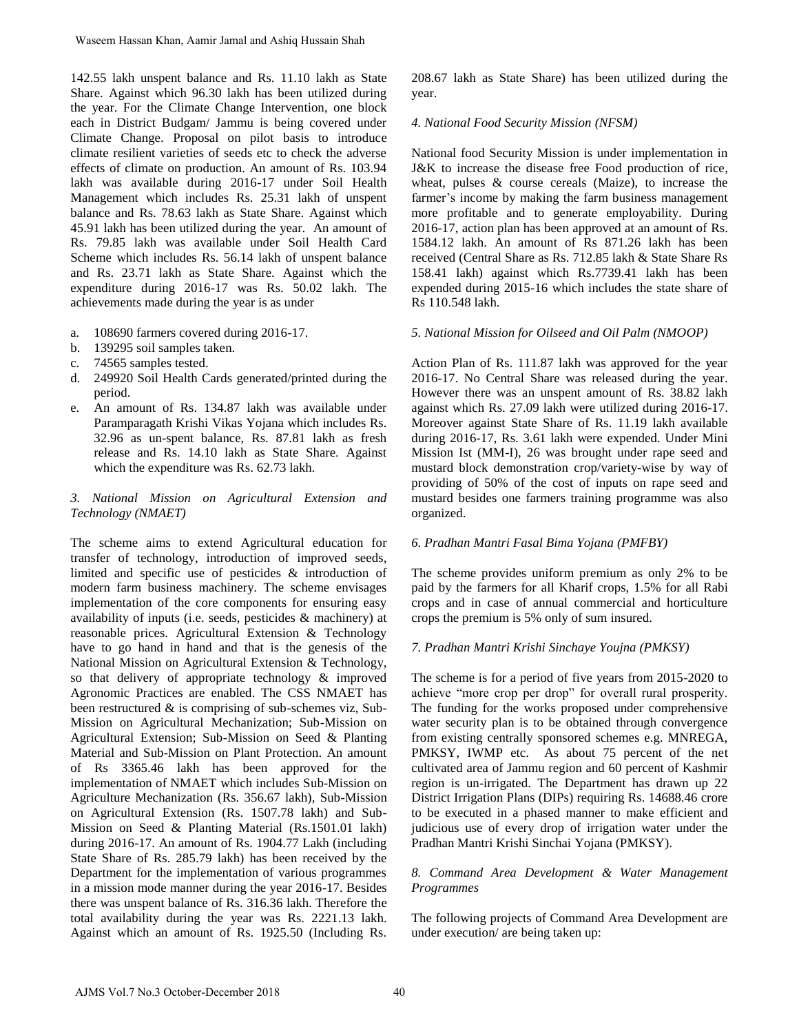142.55 lakh unspent balance and Rs. 11.10 lakh as State Share. Against which 96.30 lakh has been utilized during the year. For the Climate Change Intervention, one block each in District Budgam/ Jammu is being covered under Climate Change. Proposal on pilot basis to introduce climate resilient varieties of seeds etc to check the adverse effects of climate on production. An amount of Rs. 103.94 lakh was available during 2016-17 under Soil Health Management which includes Rs. 25.31 lakh of unspent balance and Rs. 78.63 lakh as State Share. Against which 45.91 lakh has been utilized during the year. An amount of Rs. 79.85 lakh was available under Soil Health Card Scheme which includes Rs. 56.14 lakh of unspent balance and Rs. 23.71 lakh as State Share. Against which the expenditure during 2016-17 was Rs. 50.02 lakh. The achievements made during the year is as under

- a. 108690 farmers covered during 2016-17.
- b. 139295 soil samples taken.
- c. 74565 samples tested.
- d. 249920 Soil Health Cards generated/printed during the period.
- e. An amount of Rs. 134.87 lakh was available under Paramparagath Krishi Vikas Yojana which includes Rs. 32.96 as un-spent balance, Rs. 87.81 lakh as fresh release and Rs. 14.10 lakh as State Share. Against which the expenditure was Rs. 62.73 lakh.

## *3. National Mission on Agricultural Extension and Technology (NMAET)*

The scheme aims to extend Agricultural education for transfer of technology, introduction of improved seeds, limited and specific use of pesticides & introduction of modern farm business machinery. The scheme envisages implementation of the core components for ensuring easy availability of inputs (i.e. seeds, pesticides & machinery) at reasonable prices. Agricultural Extension & Technology have to go hand in hand and that is the genesis of the National Mission on Agricultural Extension & Technology, so that delivery of appropriate technology & improved Agronomic Practices are enabled. The CSS NMAET has been restructured & is comprising of sub-schemes viz, Sub-Mission on Agricultural Mechanization; Sub-Mission on Agricultural Extension; Sub-Mission on Seed & Planting Material and Sub-Mission on Plant Protection. An amount of Rs 3365.46 lakh has been approved for the implementation of NMAET which includes Sub-Mission on Agriculture Mechanization (Rs. 356.67 lakh), Sub-Mission on Agricultural Extension (Rs. 1507.78 lakh) and Sub-Mission on Seed & Planting Material (Rs.1501.01 lakh) during 2016-17. An amount of Rs. 1904.77 Lakh (including State Share of Rs. 285.79 lakh) has been received by the Department for the implementation of various programmes in a mission mode manner during the year 2016-17. Besides there was unspent balance of Rs. 316.36 lakh. Therefore the total availability during the year was Rs. 2221.13 lakh. Against which an amount of Rs. 1925.50 (Including Rs. Waseen Hassan Khan, Aamir Jamal and Ashiq Hussain Shah<br>
4255 lakhu uagenet balance and Rs. 1110 lakh as State<br>
4257 lakhu uagenet balance and Rs. 1110 lakh as State<br>
here Park Tor the Climate Change Intervention, one block

208.67 lakh as State Share) has been utilized during the year.

## *4. National Food Security Mission (NFSM)*

National food Security Mission is under implementation in J&K to increase the disease free Food production of rice, wheat, pulses & course cereals (Maize), to increase the farmer's income by making the farm business management more profitable and to generate employability. During 2016-17, action plan has been approved at an amount of Rs. 1584.12 lakh. An amount of Rs 871.26 lakh has been received (Central Share as Rs. 712.85 lakh & State Share Rs 158.41 lakh) against which Rs.7739.41 lakh has been expended during 2015-16 which includes the state share of Rs 110.548 lakh.

## *5. National Mission for Oilseed and Oil Palm (NMOOP)*

Action Plan of Rs. 111.87 lakh was approved for the year 2016-17. No Central Share was released during the year. However there was an unspent amount of Rs. 38.82 lakh against which Rs. 27.09 lakh were utilized during 2016-17. Moreover against State Share of Rs. 11.19 lakh available during 2016-17, Rs. 3.61 lakh were expended. Under Mini Mission Ist (MM-I), 26 was brought under rape seed and mustard block demonstration crop/variety-wise by way of providing of 50% of the cost of inputs on rape seed and mustard besides one farmers training programme was also organized.

## *6. Pradhan Mantri Fasal Bima Yojana (PMFBY)*

The scheme provides uniform premium as only 2% to be paid by the farmers for all Kharif crops, 1.5% for all Rabi crops and in case of annual commercial and horticulture crops the premium is 5% only of sum insured.

## *7. Pradhan Mantri Krishi Sinchaye Youjna (PMKSY)*

The scheme is for a period of five years from 2015-2020 to achieve "more crop per drop" for overall rural prosperity. The funding for the works proposed under comprehensive water security plan is to be obtained through convergence from existing centrally sponsored schemes e.g. MNREGA, PMKSY, IWMP etc. As about 75 percent of the net cultivated area of Jammu region and 60 percent of Kashmir region is un-irrigated. The Department has drawn up 22 District Irrigation Plans (DIPs) requiring Rs. 14688.46 crore to be executed in a phased manner to make efficient and judicious use of every drop of irrigation water under the Pradhan Mantri Krishi Sinchai Yojana (PMKSY).

## *8. Command Area Development & Water Management Programmes*

The following projects of Command Area Development are under execution/ are being taken up: